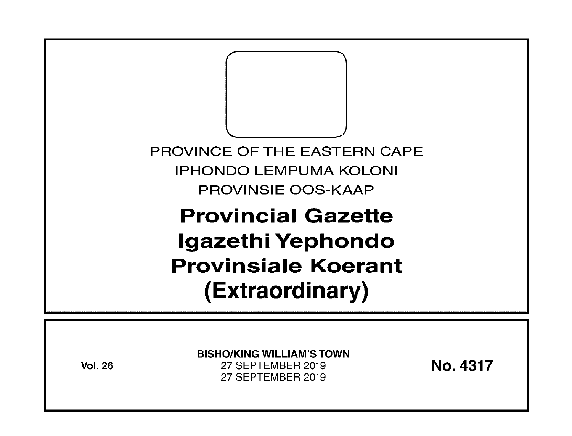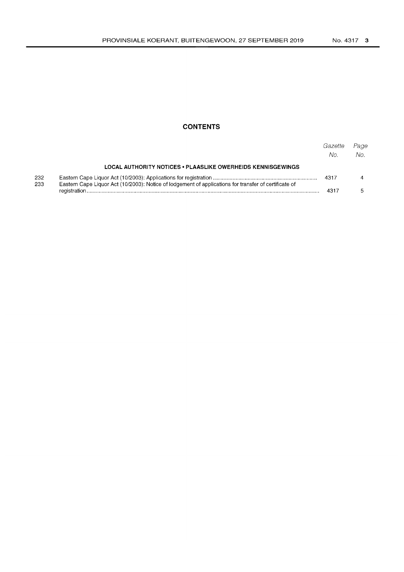# **CONTENTS**

|            |                                                                                                       | Gazette<br>No. | Page<br>No. |
|------------|-------------------------------------------------------------------------------------------------------|----------------|-------------|
|            | LOCAL AUTHORITY NOTICES . PLAASLIKE OWERHEIDS KENNISGEWINGS                                           |                |             |
| 232<br>233 | Eastern Cape Liquor Act (10/2003): Notice of lodgement of applications for transfer of certificate of |                |             |
|            |                                                                                                       | 4317           |             |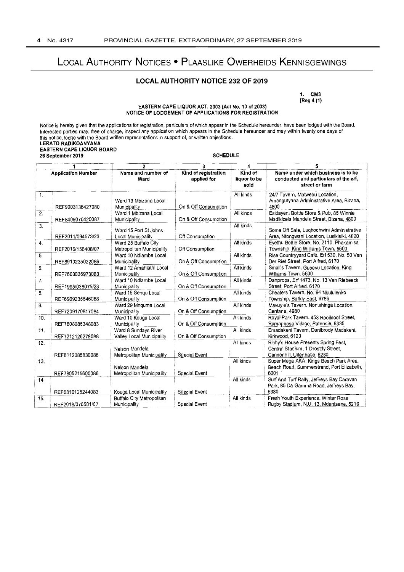# LOCAL AUTHORITY NOTICES . PLAASLIKE OWERHEIDS KENNISGEWINGS

# **LOCAL AUTHORITY NOTICE 232 OF 2019**

1. CM3  $[Reg 4 (1)]$ 

## EASTERN CAPE LIQUOR ACT, 2003 (Act No. 10 of 2003) NOTICE OF LODGEMENT OF APPLICATIONS FOR REGISTRATION

Notice is hereby given that the applications for registration, particulars of which appear in the Schedule hereunder, have been lodged with the Board.<br>Interested parties may, free of charge, inspect any application which a this notice, lodge with the Board written representations in support of, or written objections. **LERATO RADIKOANYANA EASTERN CAPE LIQUOR BOARD** 26 September 2019 **SCHEDULE** . .. . . . .  $\Box$   $\Box$   $\Box$   $\Box$  $\frac{1}{2}$  $\overline{T}$ 

|                           |                   | $\overline{2}$                                    | 3                                   |                                 | 5                                                                                                        |
|---------------------------|-------------------|---------------------------------------------------|-------------------------------------|---------------------------------|----------------------------------------------------------------------------------------------------------|
| <b>Application Number</b> |                   | Name and number of<br>Ward                        | Kind of registration<br>applied for | Kind of<br>liquor to be<br>sold | Name under which business is to be<br>conducted and particulars of the erf,<br>street or farm            |
| $\mathbf{1}$ .            | REF9003136427080  | Ward 13 Mbizana Local<br>Municipality             | On & Off Consumption                | All kinds                       | 24/7 Tavern, Matwebu Location,<br>Amangutyana Administrative Area, Bizana,<br>4800                       |
| 2.                        | REF8409076420087  | Ward 1 Mbizana Local<br>Municipality              | On & Off Consumption                | All kinds                       | Esidayeni Bottle Store & Pub, 85 Winnie<br>Madikizela Mandela Street, Bizana, 4800                       |
| $\overline{3}$ .          | REF2011/094573/23 | Ward 15 Port St Johns<br>Local Municipality       | Off Consumption                     | All kinds                       | Soma Off Sale, Lughoghwini Administrative<br>Area, Ntongwani Location, Lusikisiki, 4820                  |
| 4.                        | REF2016/156408/07 | Ward 25 Buffalo City<br>Metropolitan Municipality | Off Consumption                     | All kinds                       | Evethu Bottle Store, No. 2110, Phakamisa<br>Township, King Williams Town, 5600                           |
| 5.                        | REF8910235022086  | Ward 10 Ndlambe Local<br>Municipality             | On & Off Consumption                | All kinds                       | Rise Countryvard Café, Erf 530, No. 50 Van<br>Der Riet Street, Port Alfred, 6170                         |
| 6.                        | REF7603036973083  | Ward 12 Amahlathi Local<br>Municipality           | On & Off Consumption                | All kinds                       | Small's Tavern, Gubeyu Location, King<br>Williams Town, 5600                                             |
| 7.                        | REF1995/038075/23 | Ward 10 Ndlambe Local<br>Municipality             | On & Off Consumption                | All kinds                       | Dartprops, Erf 1473, No. 13 Van Riebeeck<br>Street, Port Alfred. 6170                                    |
| $\overline{8}$            | REF6909235546088  | Ward 15 Sengu Local<br>Municipality               | On & Off Consumption                | All kinds                       | Cheaters Tavern, No. 94 Nkululenko<br>Township, Barkly East, 9786                                        |
| 9.                        | REF7209170817084  | Ward 29 Mnquma Local<br>Municipality              | On & Off Consumption                | All kinds                       | Mavuvie's Tavern, Nontshinga Location,<br>Centane, 4980                                                  |
| 10.                       | REF7808085348083  | Ward 10 Kouga Local<br>Municipality               | On & Off Consumption                | All kinds                       | Royal Park Tavern, 453 Rooikloof Street,<br>Ramaphosa Village, Patensie, 6335                            |
| 11.                       | REF7212126278088  | Ward 8 Sundays River<br>Valley Local Municipality | On & Off Consumption                | All kinds                       | Emadakeni Tavern, Dunibrody Madakeni,<br>Kirkwood, 6120                                                  |
| 12.                       |                   | Nelson Mandela                                    | Special Event                       | All kinds                       | Richy's House Presents Spring Fest,<br>Central Stadium, 1 Drostdy Street,<br>Cannonhill, Uitenhage, 6280 |
| 13.                       | REF8112085830086  | Metropolitan Municipality<br>Nelson Mandela       |                                     | All kinds                       | Super Mega AKA, Kings Beach Park Area,<br>Beach Road, Summerstrand, Port Elizabeth,                      |
| 14.                       | REF7805215600086  | Metropolitan Municipality                         | Special Event                       | All kinds                       | 6001<br>Surf And Turf Rally, Jeffreys Bay Caravan<br>Park, 85 Da Gamma Road, Jeffreys Bay,               |
|                           | REF6810125244083  | Kouga Local Municipality                          | Special Event                       |                                 | 6380                                                                                                     |
| 15.                       | REF2018/076501/07 | <b>Buffalo City Metropolitan</b><br>Municipality  | Special Event                       | All kinds                       | Fresh Youth Experience, Winter Rose<br>Rugby Stadium, N.U. 13, Mdantsane, 5219                           |